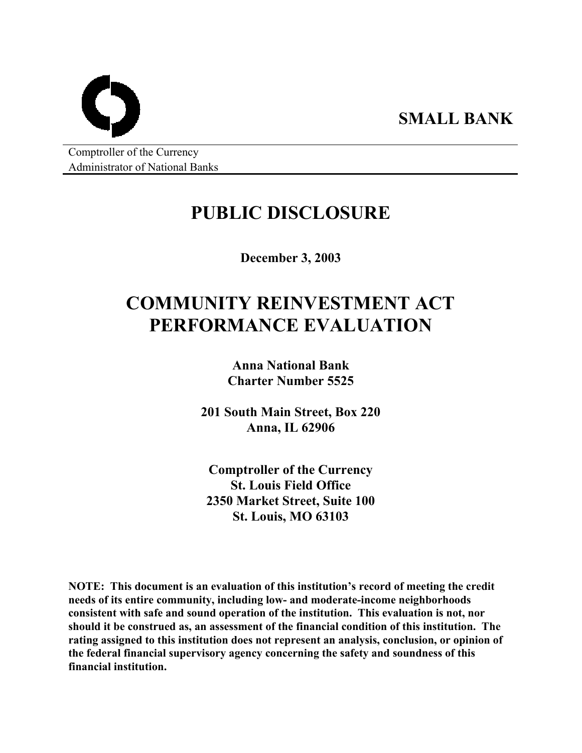Comptroller of the Currency Administrator of National Banks

# **PUBLIC DISCLOSURE**

**SMALL BANK** 

**December 3, 2003** 

# **COMMUNITY REINVESTMENT ACT PERFORMANCE EVALUATION**

**Anna National Bank Charter Number 5525** 

**201 South Main Street, Box 220 Anna, IL 62906** 

**Comptroller of the Currency St. Louis Field Office 2350 Market Street, Suite 100 St. Louis, MO 63103** 

**NOTE: This document is an evaluation of this institution's record of meeting the credit needs of its entire community, including low- and moderate-income neighborhoods consistent with safe and sound operation of the institution. This evaluation is not, nor should it be construed as, an assessment of the financial condition of this institution. The rating assigned to this institution does not represent an analysis, conclusion, or opinion of the federal financial supervisory agency concerning the safety and soundness of this financial institution.**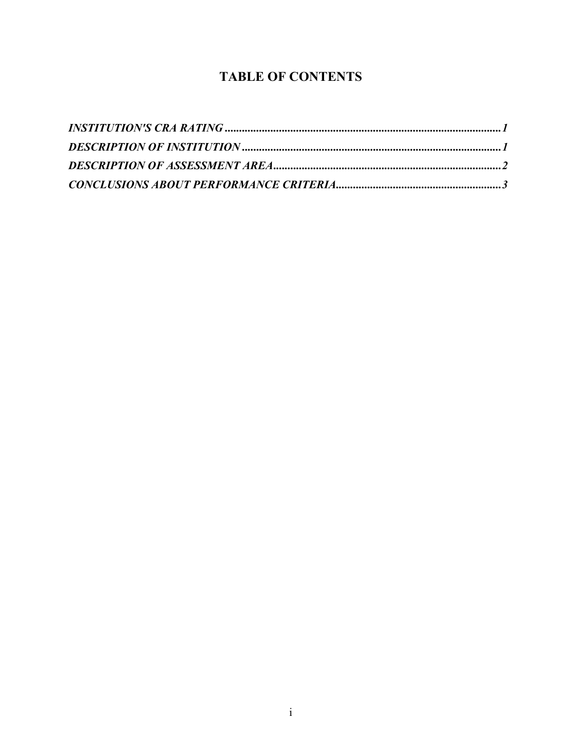### **TABLE OF CONTENTS**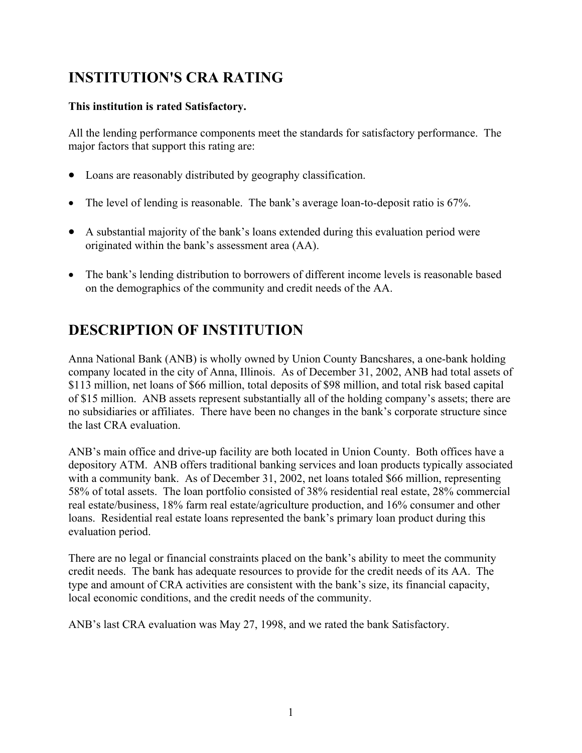## <span id="page-2-0"></span>**INSTITUTION'S CRA RATING**

### **This institution is rated Satisfactory.**

All the lending performance components meet the standards for satisfactory performance. The major factors that support this rating are:

- Loans are reasonably distributed by geography classification.
- The level of lending is reasonable. The bank's average loan-to-deposit ratio is 67%.
- A substantial majority of the bank's loans extended during this evaluation period were originated within the bank's assessment area (AA).
- The bank's lending distribution to borrowers of different income levels is reasonable based on the demographics of the community and credit needs of the AA.

### **DESCRIPTION OF INSTITUTION**

Anna National Bank (ANB) is wholly owned by Union County Bancshares, a one-bank holding company located in the city of Anna, Illinois. As of December 31, 2002, ANB had total assets of \$113 million, net loans of \$66 million, total deposits of \$98 million, and total risk based capital of \$15 million. ANB assets represent substantially all of the holding company's assets; there are no subsidiaries or affiliates. There have been no changes in the bank's corporate structure since the last CRA evaluation.

ANB's main office and drive-up facility are both located in Union County. Both offices have a depository ATM. ANB offers traditional banking services and loan products typically associated with a community bank. As of December 31, 2002, net loans totaled \$66 million, representing 58% of total assets. The loan portfolio consisted of 38% residential real estate, 28% commercial real estate/business, 18% farm real estate/agriculture production, and 16% consumer and other loans. Residential real estate loans represented the bank's primary loan product during this evaluation period.

There are no legal or financial constraints placed on the bank's ability to meet the community credit needs. The bank has adequate resources to provide for the credit needs of its AA. The type and amount of CRA activities are consistent with the bank's size, its financial capacity, local economic conditions, and the credit needs of the community.

ANB's last CRA evaluation was May 27, 1998, and we rated the bank Satisfactory.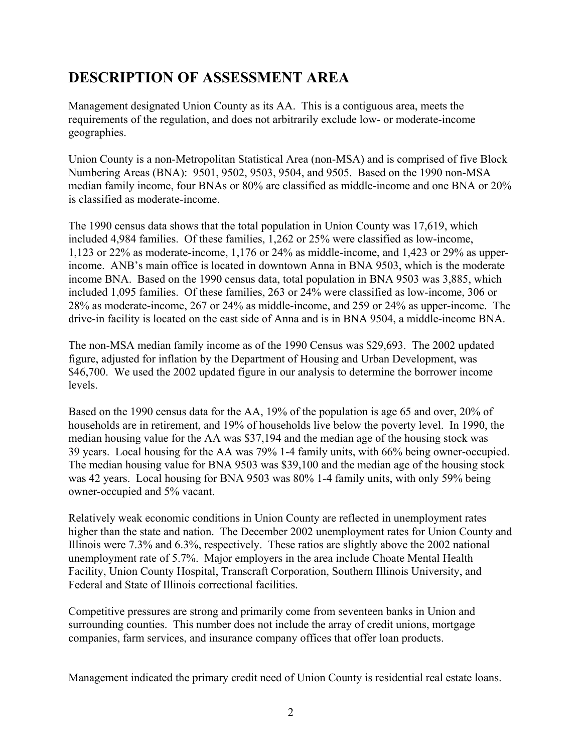### <span id="page-3-0"></span>**DESCRIPTION OF ASSESSMENT AREA**

Management designated Union County as its AA. This is a contiguous area, meets the requirements of the regulation, and does not arbitrarily exclude low- or moderate-income geographies.

Union County is a non-Metropolitan Statistical Area (non-MSA) and is comprised of five Block Numbering Areas (BNA): 9501, 9502, 9503, 9504, and 9505. Based on the 1990 non-MSA median family income, four BNAs or 80% are classified as middle-income and one BNA or 20% is classified as moderate-income.

The 1990 census data shows that the total population in Union County was 17,619, which included 4,984 families. Of these families, 1,262 or 25% were classified as low-income, 1,123 or 22% as moderate-income, 1,176 or 24% as middle-income, and 1,423 or 29% as upperincome. ANB's main office is located in downtown Anna in BNA 9503, which is the moderate income BNA. Based on the 1990 census data, total population in BNA 9503 was 3,885, which included 1,095 families. Of these families, 263 or 24% were classified as low-income, 306 or 28% as moderate-income, 267 or 24% as middle-income, and 259 or 24% as upper-income. The drive-in facility is located on the east side of Anna and is in BNA 9504, a middle-income BNA.

The non-MSA median family income as of the 1990 Census was \$29,693. The 2002 updated figure, adjusted for inflation by the Department of Housing and Urban Development, was \$46,700. We used the 2002 updated figure in our analysis to determine the borrower income levels.

Based on the 1990 census data for the AA, 19% of the population is age 65 and over, 20% of households are in retirement, and 19% of households live below the poverty level. In 1990, the median housing value for the AA was \$37,194 and the median age of the housing stock was 39 years. Local housing for the AA was 79% 1-4 family units, with 66% being owner-occupied. The median housing value for BNA 9503 was \$39,100 and the median age of the housing stock was 42 years. Local housing for BNA 9503 was 80% 1-4 family units, with only 59% being owner-occupied and 5% vacant.

Relatively weak economic conditions in Union County are reflected in unemployment rates higher than the state and nation. The December 2002 unemployment rates for Union County and Illinois were 7.3% and 6.3%, respectively. These ratios are slightly above the 2002 national unemployment rate of 5.7%. Major employers in the area include Choate Mental Health Facility, Union County Hospital, Transcraft Corporation, Southern Illinois University, and Federal and State of Illinois correctional facilities.

Competitive pressures are strong and primarily come from seventeen banks in Union and surrounding counties. This number does not include the array of credit unions, mortgage companies, farm services, and insurance company offices that offer loan products.

Management indicated the primary credit need of Union County is residential real estate loans.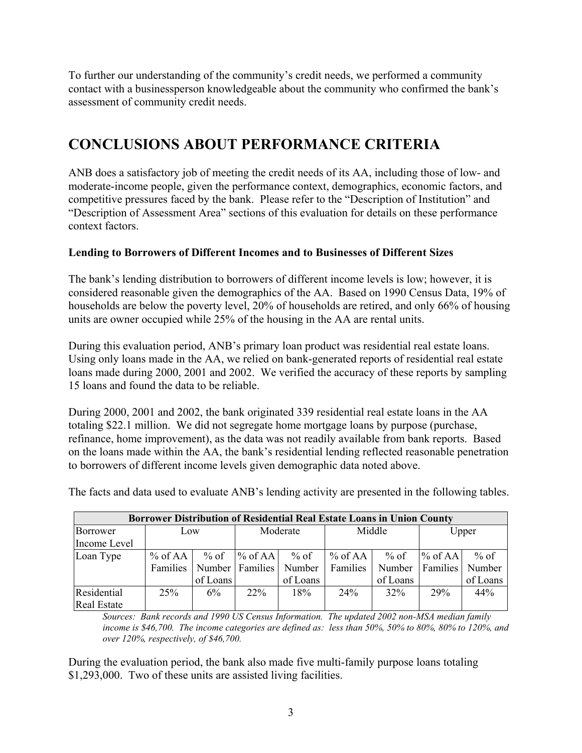<span id="page-4-0"></span>To further our understanding of the community's credit needs, we performed a community contact with a businessperson knowledgeable about the community who confirmed the bank's assessment of community credit needs.

## **CONCLUSIONS ABOUT PERFORMANCE CRITERIA**

ANB does a satisfactory job of meeting the credit needs of its AA, including those of low- and moderate-income people, given the performance context, demographics, economic factors, and competitive pressures faced by the bank. Please refer to the "Description of Institution" and "Description of Assessment Area" sections of this evaluation for details on these performance context factors.

### **Lending to Borrowers of Different Incomes and to Businesses of Different Sizes**

The bank's lending distribution to borrowers of different income levels is low; however, it is considered reasonable given the demographics of the AA. Based on 1990 Census Data, 19% of households are below the poverty level, 20% of households are retired, and only 66% of housing units are owner occupied while 25% of the housing in the AA are rental units.

During this evaluation period, ANB's primary loan product was residential real estate loans. Using only loans made in the AA, we relied on bank-generated reports of residential real estate loans made during 2000, 2001 and 2002. We verified the accuracy of these reports by sampling 15 loans and found the data to be reliable.

During 2000, 2001 and 2002, the bank originated 339 residential real estate loans in the AA totaling \$22.1 million. We did not segregate home mortgage loans by purpose (purchase, refinance, home improvement), as the data was not readily available from bank reports. Based on the loans made within the AA, the bank's residential lending reflected reasonable penetration to borrowers of different income levels given demographic data noted above.

| Borrower Distribution of Residential Real Estate Loans in Union County |           |                    |                                                    |                    |                         |                            |                              |                              |  |  |  |
|------------------------------------------------------------------------|-----------|--------------------|----------------------------------------------------|--------------------|-------------------------|----------------------------|------------------------------|------------------------------|--|--|--|
| Borrower<br>Income Level                                               | Low       |                    | Moderate                                           |                    | Middle                  |                            | Upper                        |                              |  |  |  |
| Loan Type                                                              | $%$ of AA | $%$ of<br>of Loans | $%$ of AA<br>Families   Number   Families   Number | $%$ of<br>of Loans | $%$ of AA  <br>Families | % of<br>Number<br>of Loans | $%$ of AA<br><b>Families</b> | $%$ of<br>Number<br>of Loans |  |  |  |
| Residential<br><b>Real Estate</b>                                      | 25%       | $6\%$              | $22\%$                                             | 18%                | 24%                     | $32\%$                     | 29%                          | 44%                          |  |  |  |

The facts and data used to evaluate ANB's lending activity are presented in the following tables.

*Sources: Bank records and 1990 US Census Information. The updated 2002 non-MSA median family income is \$46,700. The income categories are defined as: less than 50%, 50% to 80%, 80% to 120%, and over 120%, respectively, of \$46,700.*

During the evaluation period, the bank also made five multi-family purpose loans totaling \$1,293,000. Two of these units are assisted living facilities.